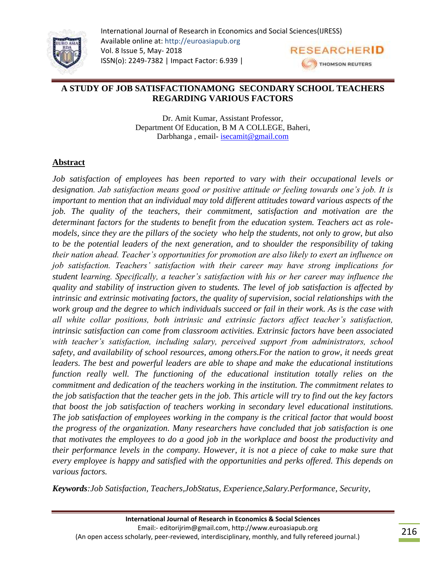

### **A STUDY OF JOB SATISFACTIONAMONG SECONDARY SCHOOL TEACHERS REGARDING VARIOUS FACTORS**

Dr. Amit Kumar, Assistant Professor, Department Of Education, B M A COLLEGE, Baheri, Darbhanga , email- [isecamit@gmail.com](mailto:isecamit@gmail.com)

# **Abstract**

*Job satisfaction of employees has been reported to vary with their occupational levels or designation. Jab satisfaction means good or positive attitude or feeling towards one's job. It is important to mention that an individual may told different attitudes toward various aspects of the job. The quality of the teachers, their commitment, satisfaction and motivation are the determinant factors for the students to benefit from the education system. Teachers act as rolemodels, since they are the pillars of the society who help the students, not only to grow, but also to be the potential leaders of the next generation, and to shoulder the responsibility of taking their nation ahead. Teacher's opportunities for promotion are also likely to exert an influence on job satisfaction. Teachers' satisfaction with their career may have strong implications for student learning. Specifically, a teacher's satisfaction with his or her career may influence the quality and stability of instruction given to students. The level of job satisfaction is affected by intrinsic and extrinsic motivating factors, the quality of supervision, social relationships with the work group and the degree to which individuals succeed or fail in their work. As is the case with all white collar positions, both intrinsic and extrinsic factors affect teacher's satisfaction, intrinsic satisfaction can come from classroom activities. Extrinsic factors have been associated with teacher's satisfaction, including salary, perceived support from administrators, school safety, and availability of school resources, among others.For the nation to grow, it needs great leaders. The best and powerful leaders are able to shape and make the educational institutions function really well. The functioning of the educational institution totally relies on the commitment and dedication of the teachers working in the institution. The commitment relates to the job satisfaction that the teacher gets in the job. This article will try to find out the key factors that boost the job satisfaction of teachers working in secondary level educational institutions. The job satisfaction of employees working in the company is the critical factor that would boost the progress of the organization. Many researchers have concluded that job satisfaction is one that motivates the employees to do a good job in the workplace and boost the productivity and their performance levels in the company. However, it is not a piece of cake to make sure that every employee is happy and satisfied with the opportunities and perks offered. This depends on various factors.*

*Keywords:Job Satisfaction, Teachers,JobStatus, Experience,Salary[.Performance,](https://www.scirp.org/journal/articles.aspx?searchcode=+Performance&searchfield=keyword&page=1&skid=0) [Security,](https://www.scirp.org/journal/articles.aspx?searchcode=+Security&searchfield=keyword&page=1&skid=0)*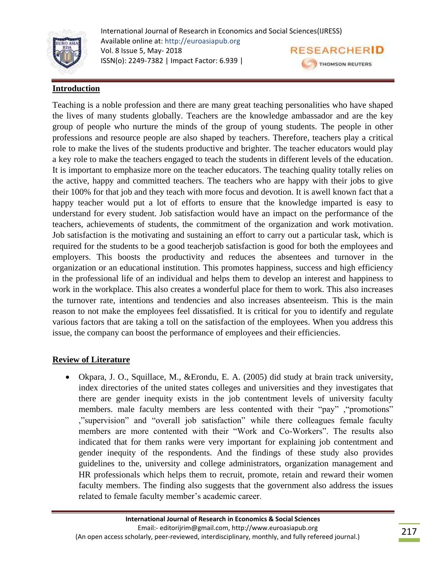

# **Introduction**

Teaching is a noble profession and there are many great teaching personalities who have shaped the lives of many students globally. Teachers are the knowledge ambassador and are the key group of people who nurture the minds of the group of young students. The people in other professions and resource people are also shaped by teachers. Therefore, teachers play a critical role to make the lives of the students productive and brighter. The teacher educators would play a key role to make the teachers engaged to teach the students in different levels of the education. It is important to emphasize more on the teacher educators. The teaching quality totally relies on the active, happy and committed teachers. The teachers who are happy with their jobs to give their 100% for that job and they teach with more focus and devotion. It is awell known fact that a happy teacher would put a lot of efforts to ensure that the knowledge imparted is easy to understand for every student. Job satisfaction would have an impact on the performance of the teachers, achievements of students, the commitment of the organization and work motivation. Job satisfaction is the motivating and sustaining an effort to carry out a particular task, which is required for the students to be a good teacherjob satisfaction is good for both the employees and employers. This boosts the productivity and reduces the absentees and turnover in the organization or an educational institution. This promotes happiness, success and high efficiency in the professional life of an individual and helps them to develop an interest and happiness to work in the workplace. This also creates a wonderful place for them to work. This also increases the turnover rate, intentions and tendencies and also increases absenteeism. This is the main reason to not make the employees feel dissatisfied. It is critical for you to identify and regulate various factors that are taking a toll on the satisfaction of the employees. When you address this issue, the company can boost the performance of employees and their efficiencies.

#### **Review of Literature**

 Okpara, J. O., Squillace, M., &Erondu, E. A. (2005) did study at brain track university, index directories of the united states colleges and universities and they investigates that there are gender inequity exists in the job contentment levels of university faculty members. male faculty members are less contented with their "pay" ,"promotions" ,"supervision" and "overall job satisfaction" while there colleagues female faculty members are more contented with their "Work and Co-Workers". The results also indicated that for them ranks were very important for explaining job contentment and gender inequity of the respondents. And the findings of these study also provides guidelines to the, university and college administrators, organization management and HR professionals which helps them to recruit, promote, retain and reward their women faculty members. The finding also suggests that the government also address the issues related to female faculty member's academic career.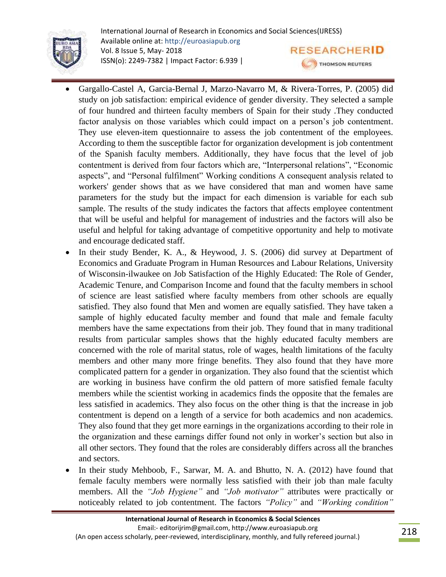

- Gargallo-Castel A, Garcia-Bernal J, Marzo-Navarro M, & Rivera-Torres, P. (2005) did study on job satisfaction: empirical evidence of gender diversity. They selected a sample of four hundred and thirteen faculty members of Spain for their study .They conducted factor analysis on those variables which could impact on a person"s job contentment. They use eleven-item questionnaire to assess the job contentment of the employees. According to them the susceptible factor for organization development is job contentment of the Spanish faculty members. Additionally, they have focus that the level of job contentment is derived from four factors which are, "Interpersonal relations", "Economic aspects", and "Personal fulfilment" Working conditions A consequent analysis related to workers' gender shows that as we have considered that man and women have same parameters for the study but the impact for each dimension is variable for each sub sample. The results of the study indicates the factors that affects employee contentment that will be useful and helpful for management of industries and the factors will also be useful and helpful for taking advantage of competitive opportunity and help to motivate and encourage dedicated staff.
- In their study Bender, K. A., & Heywood, J. S. (2006) did survey at Department of Economics and Graduate Program in Human Resources and Labour Relations, University of Wisconsin-ilwaukee on Job Satisfaction of the Highly Educated: The Role of Gender, Academic Tenure, and Comparison Income and found that the faculty members in school of science are least satisfied where faculty members from other schools are equally satisfied. They also found that Men and women are equally satisfied. They have taken a sample of highly educated faculty member and found that male and female faculty members have the same expectations from their job. They found that in many traditional results from particular samples shows that the highly educated faculty members are concerned with the role of marital status, role of wages, health limitations of the faculty members and other many more fringe benefits. They also found that they have more complicated pattern for a gender in organization. They also found that the scientist which are working in business have confirm the old pattern of more satisfied female faculty members while the scientist working in academics finds the opposite that the females are less satisfied in academics. They also focus on the other thing is that the increase in job contentment is depend on a length of a service for both academics and non academics. They also found that they get more earnings in the organizations according to their role in the organization and these earnings differ found not only in worker"s section but also in all other sectors. They found that the roles are considerably differs across all the branches and sectors.
- In their study Mehboob, F., Sarwar, M. A. and Bhutto, N. A. (2012) have found that female faculty members were normally less satisfied with their job than male faculty members. All the *"Job Hygiene"* and *"Job motivator"* attributes were practically or noticeably related to job contentment. The factors *"Policy"* and *"Working condition"*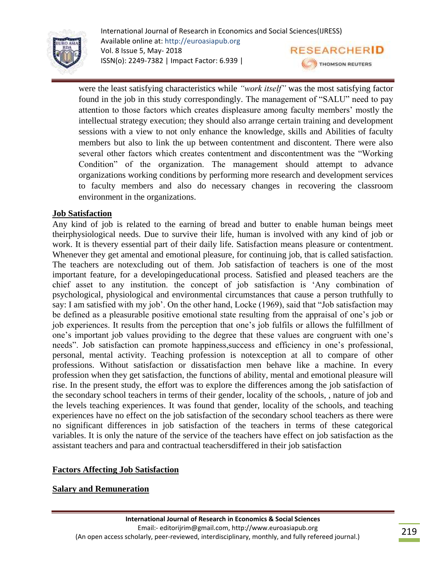

were the least satisfying characteristics while *"work itself"* was the most satisfying factor found in the job in this study correspondingly. The management of "SALU" need to pay attention to those factors which creates displeasure among faculty members' mostly the intellectual strategy execution; they should also arrange certain training and development sessions with a view to not only enhance the knowledge, skills and Abilities of faculty members but also to link the up between contentment and discontent. There were also several other factors which creates contentment and discontentment was the "Working Condition" of the organization. The management should attempt to advance organizations working conditions by performing more research and development services to faculty members and also do necessary changes in recovering the classroom environment in the organizations.

### **Job Satisfaction**

Any kind of job is related to the earning of bread and butter to enable human beings meet theirphysiological needs. Due to survive their life, human is involved with any kind of job or work. It is thevery essential part of their daily life. Satisfaction means pleasure or contentment. Whenever they get amental and emotional pleasure, for continuing job, that is called satisfaction. The teachers are notexcluding out of them. Job satisfaction of teachers is one of the most important feature, for a developingeducational process. Satisfied and pleased teachers are the chief asset to any institution. the concept of job satisfaction is "Any combination of psychological, physiological and environmental circumstances that cause a person truthfully to say: I am satisfied with my job'. On the other hand, Locke (1969), said that "Job satisfaction may be defined as a pleasurable positive emotional state resulting from the appraisal of one's job or job experiences. It results from the perception that one"s job fulfils or allows the fulfillment of one's important job values providing to the degree that these values are congruent with one's needs". Job satisfaction can promote happiness,success and efficiency in one"s professional, personal, mental activity. Teaching profession is notexception at all to compare of other professions. Without satisfaction or dissatisfaction men behave like a machine. In every profession when they get satisfaction, the functions of ability, mental and emotional pleasure will rise. In the present study, the effort was to explore the differences among the job satisfaction of the secondary school teachers in terms of their gender, locality of the schools, , nature of job and the levels teaching experiences. It was found that gender, locality of the schools, and teaching experiences have no effect on the job satisfaction of the secondary school teachers as there were no significant differences in job satisfaction of the teachers in terms of these categorical variables. It is only the nature of the service of the teachers have effect on job satisfaction as the assistant teachers and para and contractual teachersdiffered in their job satisfaction

# **Factors Affecting Job Satisfaction**

# **Salary and Remuneration**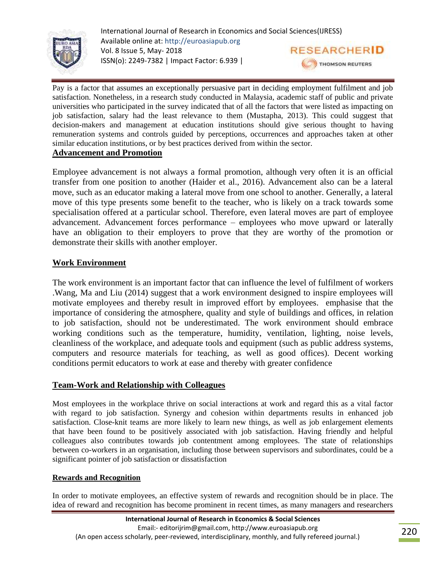

Pay is a factor that assumes an exceptionally persuasive part in deciding employment fulfilment and job satisfaction. Nonetheless, in a research study conducted in Malaysia, academic staff of public and private universities who participated in the survey indicated that of all the factors that were listed as impacting on job satisfaction, salary had the least relevance to them (Mustapha, 2013). This could suggest that decision-makers and management at education institutions should give serious thought to having remuneration systems and controls guided by perceptions, occurrences and approaches taken at other similar education institutions, or by best practices derived from within the sector.

# **Advancement and Promotion**

Employee advancement is not always a formal promotion, although very often it is an official transfer from one position to another (Haider et al., 2016). Advancement also can be a lateral move, such as an educator making a lateral move from one school to another. Generally, a lateral move of this type presents some benefit to the teacher, who is likely on a track towards some specialisation offered at a particular school. Therefore, even lateral moves are part of employee advancement. Advancement forces performance – employees who move upward or laterally have an obligation to their employers to prove that they are worthy of the promotion or demonstrate their skills with another employer.

#### **Work Environment**

The work environment is an important factor that can influence the level of fulfilment of workers .Wang, Ma and Liu (2014) suggest that a work environment designed to inspire employees will motivate employees and thereby result in improved effort by employees. emphasise that the importance of considering the atmosphere, quality and style of buildings and offices, in relation to job satisfaction, should not be underestimated. The work environment should embrace working conditions such as the temperature, humidity, ventilation, lighting, noise levels, cleanliness of the workplace, and adequate tools and equipment (such as public address systems, computers and resource materials for teaching, as well as good offices). Decent working conditions permit educators to work at ease and thereby with greater confidence

#### **Team-Work and Relationship with Colleagues**

Most employees in the workplace thrive on social interactions at work and regard this as a vital factor with regard to job satisfaction. Synergy and cohesion within departments results in enhanced job satisfaction. Close-knit teams are more likely to learn new things, as well as job enlargement elements that have been found to be positively associated with job satisfaction. Having friendly and helpful colleagues also contributes towards job contentment among employees. The state of relationships between co-workers in an organisation, including those between supervisors and subordinates, could be a significant pointer of job satisfaction or dissatisfaction

#### **Rewards and Recognition**

In order to motivate employees, an effective system of rewards and recognition should be in place. The idea of reward and recognition has become prominent in recent times, as many managers and researchers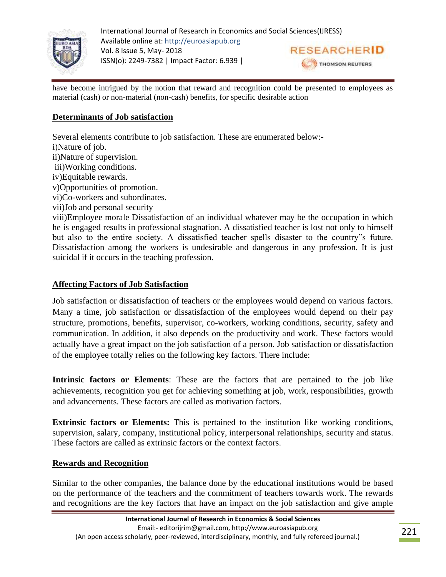

have become intrigued by the notion that reward and recognition could be presented to employees as material (cash) or non-material (non-cash) benefits, for specific desirable action

# **Determinants of Job satisfaction**

Several elements contribute to job satisfaction. These are enumerated below: i)Nature of job. ii)Nature of supervision. iii)Working conditions. iv)Equitable rewards. v)Opportunities of promotion. vi)Co-workers and subordinates. vii)Job and personal security viii)Employee morale Dissatisfaction of an individual whatever may be the occupation in which he is engaged results in professional stagnation. A dissatisfied teacher is lost not only to himself but also to the entire society. A dissatisfied teacher spells disaster to the country"s future. Dissatisfaction among the workers is undesirable and dangerous in any profession. It is just

# **Affecting Factors of Job Satisfaction**

suicidal if it occurs in the teaching profession.

Job satisfaction or dissatisfaction of teachers or the employees would depend on various factors. Many a time, job satisfaction or dissatisfaction of the employees would depend on their pay structure, promotions, benefits, supervisor, co-workers, working conditions, security, safety and communication. In addition, it also depends on the productivity and work. These factors would actually have a great impact on the job satisfaction of a person. Job satisfaction or dissatisfaction of the employee totally relies on the following key factors. There include:

**Intrinsic factors or Elements**: These are the factors that are pertained to the job like achievements, recognition you get for achieving something at job, work, responsibilities, growth and advancements. These factors are called as motivation factors.

**Extrinsic factors or Elements:** This is pertained to the institution like working conditions, supervision, salary, company, institutional policy, interpersonal relationships, security and status. These factors are called as extrinsic factors or the context factors.

# **Rewards and Recognition**

Similar to the other companies, the balance done by the educational institutions would be based on the performance of the teachers and the commitment of teachers towards work. The rewards and recognitions are the key factors that have an impact on the job satisfaction and give ample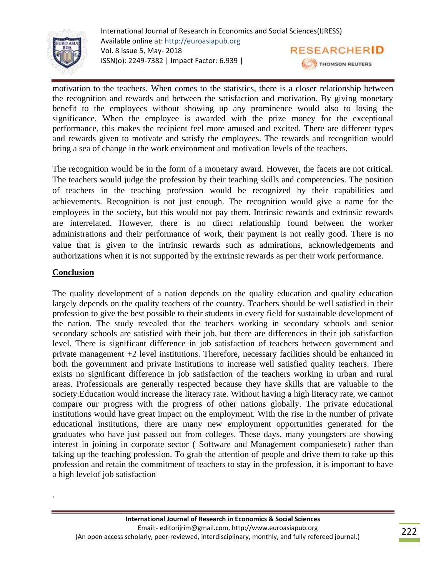

motivation to the teachers. When comes to the statistics, there is a closer relationship between the recognition and rewards and between the satisfaction and motivation. By giving monetary benefit to the employees without showing up any prominence would also to losing the significance. When the employee is awarded with the prize money for the exceptional performance, this makes the recipient feel more amused and excited. There are different types and rewards given to motivate and satisfy the employees. The rewards and recognition would bring a sea of change in the work environment and motivation levels of the teachers.

The recognition would be in the form of a monetary award. However, the facets are not critical. The teachers would judge the profession by their teaching skills and competencies. The position of teachers in the teaching profession would be recognized by their capabilities and achievements. Recognition is not just enough. The recognition would give a name for the employees in the society, but this would not pay them. Intrinsic rewards and extrinsic rewards are interrelated. However, there is no direct relationship found between the worker administrations and their performance of work, their payment is not really good. There is no value that is given to the intrinsic rewards such as admirations, acknowledgements and authorizations when it is not supported by the extrinsic rewards as per their work performance.

#### **Conclusion**

.

The quality development of a nation depends on the quality education and quality education largely depends on the quality teachers of the country. Teachers should be well satisfied in their profession to give the best possible to their students in every field for sustainable development of the nation. The study revealed that the teachers working in secondary schools and senior secondary schools are satisfied with their job, but there are differences in their job satisfaction level. There is significant difference in job satisfaction of teachers between government and private management +2 level institutions. Therefore, necessary facilities should be enhanced in both the government and private institutions to increase well satisfied quality teachers. There exists no significant difference in job satisfaction of the teachers working in urban and rural areas. Professionals are generally respected because they have skills that are valuable to the society.Education would increase the literacy rate. Without having a high literacy rate, we cannot compare our progress with the progress of other nations globally. The private educational institutions would have great impact on the employment. With the rise in the number of private educational institutions, there are many new employment opportunities generated for the graduates who have just passed out from colleges. These days, many youngsters are showing interest in joining in corporate sector ( Software and Management companiesetc) rather than taking up the teaching profession. To grab the attention of people and drive them to take up this profession and retain the commitment of teachers to stay in the profession, it is important to have a high levelof job satisfaction